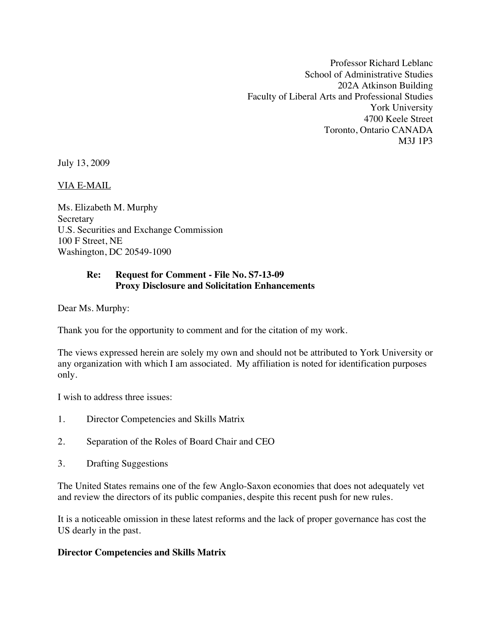Professor Richard Leblanc School of Administrative Studies 202A Atkinson Building Faculty of Liberal Arts and Professional Studies York University 4700 Keele Street Toronto, Ontario CANADA M3J 1P3

July 13, 2009

VIA E-MAIL

Ms. Elizabeth M. Murphy Secretary U.S. Securities and Exchange Commission 100 F Street, NE Washington, DC 20549-1090

## **Re: Request for Comment - File No. S7-13-09 Proxy Disclosure and Solicitation Enhancements**

Dear Ms. Murphy:

Thank you for the opportunity to comment and for the citation of my work.

The views expressed herein are solely my own and should not be attributed to York University or any organization with which I am associated. My affiliation is noted for identification purposes only.

I wish to address three issues:

- 1. Director Competencies and Skills Matrix
- 2. Separation of the Roles of Board Chair and CEO
- 3. Drafting Suggestions

The United States remains one of the few Anglo-Saxon economies that does not adequately vet and review the directors of its public companies, despite this recent push for new rules.

It is a noticeable omission in these latest reforms and the lack of proper governance has cost the US dearly in the past.

## **Director Competencies and Skills Matrix**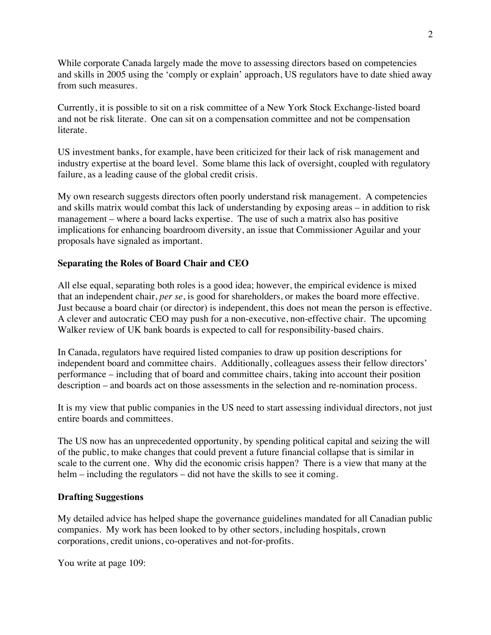While corporate Canada largely made the move to assessing directors based on competencies and skills in 2005 using the 'comply or explain' approach, US regulators have to date shied away from such measures.

Currently, it is possible to sit on a risk committee of a New York Stock Exchange-listed board and not be risk literate. One can sit on a compensation committee and not be compensation literate.

US investment banks, for example, have been criticized for their lack of risk management and industry expertise at the board level. Some blame this lack of oversight, coupled with regulatory failure, as a leading cause of the global credit crisis.

My own research suggests directors often poorly understand risk management. A competencies and skills matrix would combat this lack of understanding by exposing areas – in addition to risk management – where a board lacks expertise. The use of such a matrix also has positive implications for enhancing boardroom diversity, an issue that Commissioner Aguilar and your proposals have signaled as important.

## **Separating the Roles of Board Chair and CEO**

All else equal, separating both roles is a good idea; however, the empirical evidence is mixed that an independent chair, *per se*, is good for shareholders, or makes the board more effective. Just because a board chair (or director) is independent, this does not mean the person is effective. A clever and autocratic CEO may push for a non-executive, non-effective chair. The upcoming Walker review of UK bank boards is expected to call for responsibility-based chairs.

In Canada, regulators have required listed companies to draw up position descriptions for independent board and committee chairs. Additionally, colleagues assess their fellow directors' performance – including that of board and committee chairs, taking into account their position description – and boards act on those assessments in the selection and re-nomination process.

It is my view that public companies in the US need to start assessing individual directors, not just entire boards and committees.

The US now has an unprecedented opportunity, by spending political capital and seizing the will of the public, to make changes that could prevent a future financial collapse that is similar in scale to the current one. Why did the economic crisis happen? There is a view that many at the helm – including the regulators – did not have the skills to see it coming.

## **Drafting Suggestions**

My detailed advice has helped shape the governance guidelines mandated for all Canadian public companies. My work has been looked to by other sectors, including hospitals, crown corporations, credit unions, co-operatives and not-for-profits.

You write at page 109: